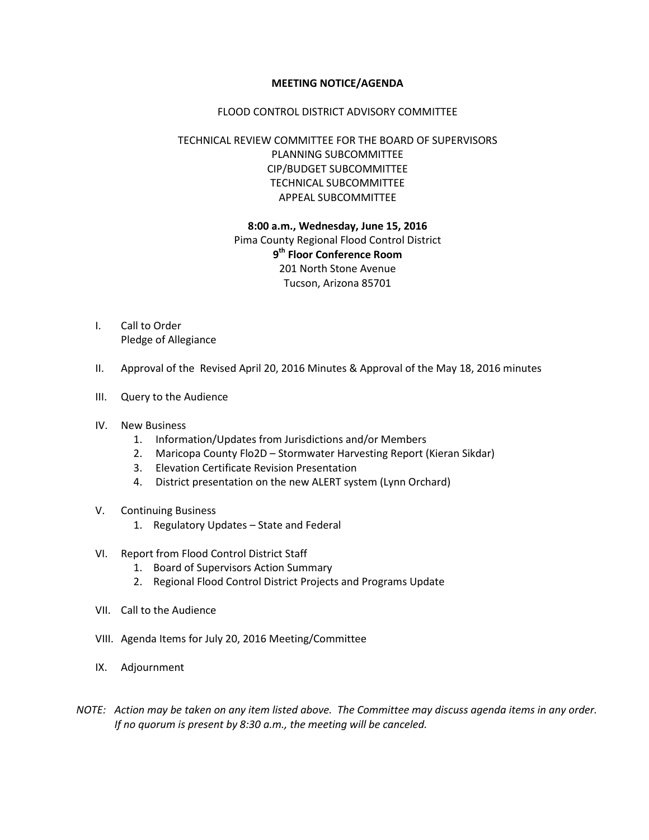#### **MEETING NOTICE/AGENDA**

#### FLOOD CONTROL DISTRICT ADVISORY COMMITTEE

## TECHNICAL REVIEW COMMITTEE FOR THE BOARD OF SUPERVISORS PLANNING SUBCOMMITTEE CIP/BUDGET SUBCOMMITTEE TECHNICAL SUBCOMMITTEE APPEAL SUBCOMMITTEE

## **8:00 a.m., Wednesday, June 15, 2016** Pima County Regional Flood Control District **9th Floor Conference Room** 201 North Stone Avenue Tucson, Arizona 85701

- I. Call to Order Pledge of Allegiance
- II. Approval of the Revised April 20, 2016 Minutes & Approval of the May 18, 2016 minutes
- III. Query to the Audience
- IV. New Business
	- 1. Information/Updates from Jurisdictions and/or Members
	- 2. Maricopa County Flo2D Stormwater Harvesting Report (Kieran Sikdar)
	- 3. Elevation Certificate Revision Presentation
	- 4. District presentation on the new ALERT system (Lynn Orchard)
- V. Continuing Business
	- 1. Regulatory Updates State and Federal
- VI. Report from Flood Control District Staff
	- 1. Board of Supervisors Action Summary
	- 2. Regional Flood Control District Projects and Programs Update
- VII. Call to the Audience
- VIII. Agenda Items for July 20, 2016 Meeting/Committee
- IX. Adjournment
- *NOTE: Action may be taken on any item listed above. The Committee may discuss agenda items in any order. If no quorum is present by 8:30 a.m., the meeting will be canceled.*